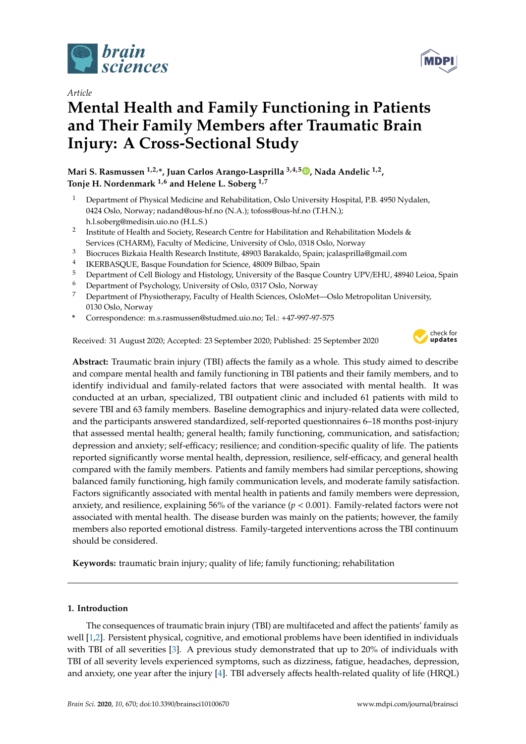

*Article*

# **Mental Health and Family Functioning in Patients and Their Family Members after Traumatic Brain Injury: A Cross-Sectional Study**

**Mari S. Rasmussen 1,2,\*, Juan Carlos Arango-Lasprilla 3,4,5 [,](https://orcid.org/0000-0002-7184-8311) Nada Andelic 1,2 , Tonje H. Nordenmark 1,6 and Helene L. Soberg 1,7**

- <sup>1</sup> Department of Physical Medicine and Rehabilitation, Oslo University Hospital, P.B. 4950 Nydalen, 0424 Oslo, Norway; nadand@ous-hf.no (N.A.); tofoss@ous-hf.no (T.H.N.); h.l.soberg@medisin.uio.no (H.L.S.)
- $2<sup>1</sup>$ Institute of Health and Society, Research Centre for Habilitation and Rehabilitation Models & Services (CHARM), Faculty of Medicine, University of Oslo, 0318 Oslo, Norway
- <sup>3</sup> Biocruces Bizkaia Health Research Institute, 48903 Barakaldo, Spain; jcalasprilla@gmail.com
- 4 IKERBASQUE, Basque Foundation for Science, 48009 Bilbao, Spain
- <sup>5</sup> Department of Cell Biology and Histology, University of the Basque Country UPV/EHU, 48940 Leioa, Spain
- <sup>6</sup> Department of Psychology, University of Oslo, 0317 Oslo, Norway
- <sup>7</sup> Department of Physiotherapy, Faculty of Health Sciences, OsloMet—Oslo Metropolitan University, 0130 Oslo, Norway
- **\*** Correspondence: m.s.rasmussen@studmed.uio.no; Tel.: +47-997-97-575

Received: 31 August 2020; Accepted: 23 September 2020; Published: 25 September 2020



**Abstract:** Traumatic brain injury (TBI) affects the family as a whole. This study aimed to describe and compare mental health and family functioning in TBI patients and their family members, and to identify individual and family-related factors that were associated with mental health. It was conducted at an urban, specialized, TBI outpatient clinic and included 61 patients with mild to severe TBI and 63 family members. Baseline demographics and injury-related data were collected, and the participants answered standardized, self-reported questionnaires 6–18 months post-injury that assessed mental health; general health; family functioning, communication, and satisfaction; depression and anxiety; self-efficacy; resilience; and condition-specific quality of life. The patients reported significantly worse mental health, depression, resilience, self-efficacy, and general health compared with the family members. Patients and family members had similar perceptions, showing balanced family functioning, high family communication levels, and moderate family satisfaction. Factors significantly associated with mental health in patients and family members were depression, anxiety, and resilience, explaining 56% of the variance  $(p < 0.001)$ . Family-related factors were not associated with mental health. The disease burden was mainly on the patients; however, the family members also reported emotional distress. Family-targeted interventions across the TBI continuum should be considered.

**Keywords:** traumatic brain injury; quality of life; family functioning; rehabilitation

# **1. Introduction**

The consequences of traumatic brain injury (TBI) are multifaceted and affect the patients' family as well [\[1,](#page-10-0)[2\]](#page-10-1). Persistent physical, cognitive, and emotional problems have been identified in individuals with TBI of all severities [\[3\]](#page-10-2). A previous study demonstrated that up to 20% of individuals with TBI of all severity levels experienced symptoms, such as dizziness, fatigue, headaches, depression, and anxiety, one year after the injury [\[4\]](#page-10-3). TBI adversely affects health-related quality of life (HRQL)



**MDP**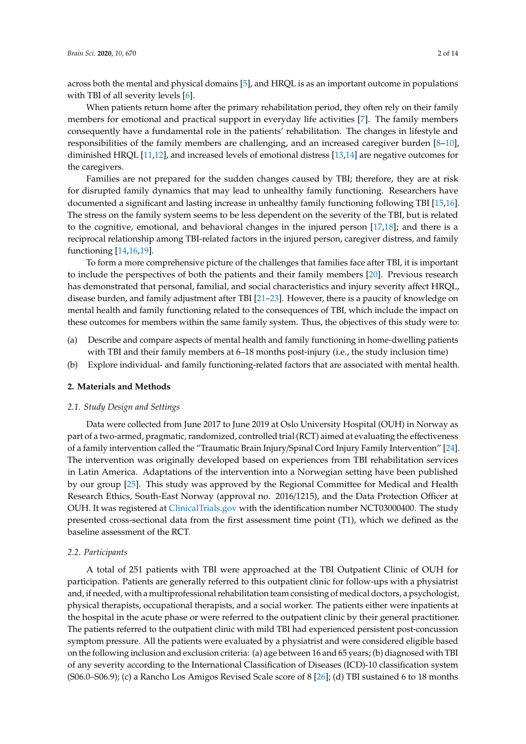across both the mental and physical domains [\[5\]](#page-10-4), and HRQL is as an important outcome in populations with TBI of all severity levels [\[6\]](#page-10-5).

When patients return home after the primary rehabilitation period, they often rely on their family members for emotional and practical support in everyday life activities [\[7\]](#page-10-6). The family members consequently have a fundamental role in the patients' rehabilitation. The changes in lifestyle and responsibilities of the family members are challenging, and an increased caregiver burden [\[8](#page-10-7)[–10\]](#page-10-8), diminished HRQL [\[11,](#page-10-9)[12\]](#page-10-10), and increased levels of emotional distress [\[13](#page-10-11)[,14\]](#page-10-12) are negative outcomes for the caregivers.

Families are not prepared for the sudden changes caused by TBI; therefore, they are at risk for disrupted family dynamics that may lead to unhealthy family functioning. Researchers have documented a significant and lasting increase in unhealthy family functioning following TBI [\[15,](#page-10-13)[16\]](#page-10-14). The stress on the family system seems to be less dependent on the severity of the TBI, but is related to the cognitive, emotional, and behavioral changes in the injured person [\[17,](#page-10-15)[18\]](#page-10-16); and there is a reciprocal relationship among TBI-related factors in the injured person, caregiver distress, and family functioning [\[14](#page-10-12)[,16](#page-10-14)[,19\]](#page-10-17).

To form a more comprehensive picture of the challenges that families face after TBI, it is important to include the perspectives of both the patients and their family members [\[20\]](#page-11-0). Previous research has demonstrated that personal, familial, and social characteristics and injury severity affect HRQL, disease burden, and family adjustment after TBI [\[21–](#page-11-1)[23\]](#page-11-2). However, there is a paucity of knowledge on mental health and family functioning related to the consequences of TBI, which include the impact on these outcomes for members within the same family system. Thus, the objectives of this study were to:

- (a) Describe and compare aspects of mental health and family functioning in home-dwelling patients with TBI and their family members at 6–18 months post-injury (i.e., the study inclusion time)
- (b) Explore individual- and family functioning-related factors that are associated with mental health.

#### **2. Materials and Methods**

### *2.1. Study Design and Settings*

Data were collected from June 2017 to June 2019 at Oslo University Hospital (OUH) in Norway as part of a two-armed, pragmatic, randomized, controlled trial (RCT) aimed at evaluating the effectiveness of a family intervention called the "Traumatic Brain Injury/Spinal Cord Injury Family Intervention" [\[24\]](#page-11-3). The intervention was originally developed based on experiences from TBI rehabilitation services in Latin America. Adaptations of the intervention into a Norwegian setting have been published by our group [\[25\]](#page-11-4). This study was approved by the Regional Committee for Medical and Health Research Ethics, South-East Norway (approval no. 2016/1215), and the Data Protection Officer at OUH. It was registered at <ClinicalTrials.gov> with the identification number NCT03000400. The study presented cross-sectional data from the first assessment time point (T1), which we defined as the baseline assessment of the RCT.

#### *2.2. Participants*

A total of 251 patients with TBI were approached at the TBI Outpatient Clinic of OUH for participation. Patients are generally referred to this outpatient clinic for follow-ups with a physiatrist and, if needed, with a multiprofessional rehabilitation team consisting of medical doctors, a psychologist, physical therapists, occupational therapists, and a social worker. The patients either were inpatients at the hospital in the acute phase or were referred to the outpatient clinic by their general practitioner. The patients referred to the outpatient clinic with mild TBI had experienced persistent post-concussion symptom pressure. All the patients were evaluated by a physiatrist and were considered eligible based on the following inclusion and exclusion criteria: (a) age between 16 and 65 years; (b) diagnosed with TBI of any severity according to the International Classification of Diseases (ICD)-10 classification system (S06.0–S06.9); (c) a Rancho Los Amigos Revised Scale score of 8 [\[26\]](#page-11-5); (d) TBI sustained 6 to 18 months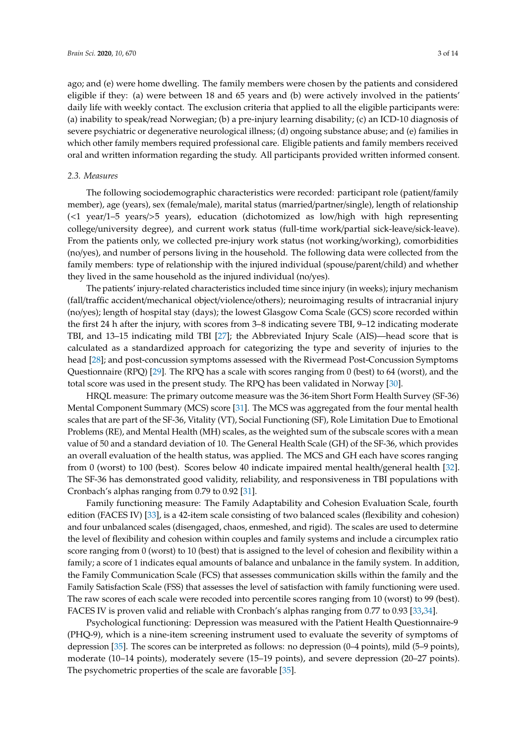ago; and (e) were home dwelling. The family members were chosen by the patients and considered eligible if they: (a) were between 18 and 65 years and (b) were actively involved in the patients' daily life with weekly contact. The exclusion criteria that applied to all the eligible participants were: (a) inability to speak/read Norwegian; (b) a pre-injury learning disability; (c) an ICD-10 diagnosis of severe psychiatric or degenerative neurological illness; (d) ongoing substance abuse; and (e) families in which other family members required professional care. Eligible patients and family members received oral and written information regarding the study. All participants provided written informed consent.

#### *2.3. Measures*

The following sociodemographic characteristics were recorded: participant role (patient/family member), age (years), sex (female/male), marital status (married/partner/single), length of relationship (<1 year/1–5 years/>5 years), education (dichotomized as low/high with high representing college/university degree), and current work status (full-time work/partial sick-leave/sick-leave). From the patients only, we collected pre-injury work status (not working/working), comorbidities (no/yes), and number of persons living in the household. The following data were collected from the family members: type of relationship with the injured individual (spouse/parent/child) and whether they lived in the same household as the injured individual (no/yes).

The patients' injury-related characteristics included time since injury (in weeks); injury mechanism (fall/traffic accident/mechanical object/violence/others); neuroimaging results of intracranial injury (no/yes); length of hospital stay (days); the lowest Glasgow Coma Scale (GCS) score recorded within the first 24 h after the injury, with scores from 3–8 indicating severe TBI, 9–12 indicating moderate TBI, and 13–15 indicating mild TBI [\[27\]](#page-11-6); the Abbreviated Injury Scale (AIS)—head score that is calculated as a standardized approach for categorizing the type and severity of injuries to the head [\[28\]](#page-11-7); and post-concussion symptoms assessed with the Rivermead Post-Concussion Symptoms Questionnaire (RPQ) [\[29\]](#page-11-8). The RPQ has a scale with scores ranging from 0 (best) to 64 (worst), and the total score was used in the present study. The RPQ has been validated in Norway [\[30\]](#page-11-9).

HRQL measure: The primary outcome measure was the 36-item Short Form Health Survey (SF-36) Mental Component Summary (MCS) score [\[31\]](#page-11-10). The MCS was aggregated from the four mental health scales that are part of the SF-36, Vitality (VT), Social Functioning (SF), Role Limitation Due to Emotional Problems (RE), and Mental Health (MH) scales, as the weighted sum of the subscale scores with a mean value of 50 and a standard deviation of 10. The General Health Scale (GH) of the SF-36, which provides an overall evaluation of the health status, was applied. The MCS and GH each have scores ranging from 0 (worst) to 100 (best). Scores below 40 indicate impaired mental health/general health [\[32\]](#page-11-11). The SF-36 has demonstrated good validity, reliability, and responsiveness in TBI populations with Cronbach's alphas ranging from 0.79 to 0.92 [\[31\]](#page-11-10).

Family functioning measure: The Family Adaptability and Cohesion Evaluation Scale, fourth edition (FACES IV) [\[33\]](#page-11-12), is a 42-item scale consisting of two balanced scales (flexibility and cohesion) and four unbalanced scales (disengaged, chaos, enmeshed, and rigid). The scales are used to determine the level of flexibility and cohesion within couples and family systems and include a circumplex ratio score ranging from 0 (worst) to 10 (best) that is assigned to the level of cohesion and flexibility within a family; a score of 1 indicates equal amounts of balance and unbalance in the family system. In addition, the Family Communication Scale (FCS) that assesses communication skills within the family and the Family Satisfaction Scale (FSS) that assesses the level of satisfaction with family functioning were used. The raw scores of each scale were recoded into percentile scores ranging from 10 (worst) to 99 (best). FACES IV is proven valid and reliable with Cronbach's alphas ranging from 0.77 to 0.93 [\[33](#page-11-12)[,34\]](#page-11-13).

Psychological functioning: Depression was measured with the Patient Health Questionnaire-9 (PHQ-9), which is a nine-item screening instrument used to evaluate the severity of symptoms of depression [\[35\]](#page-11-14). The scores can be interpreted as follows: no depression (0–4 points), mild (5–9 points), moderate (10–14 points), moderately severe (15–19 points), and severe depression (20–27 points). The psychometric properties of the scale are favorable [\[35\]](#page-11-14).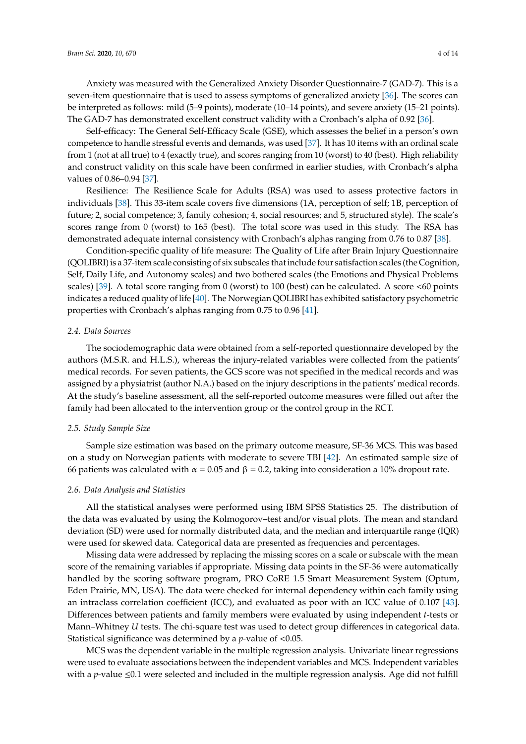Anxiety was measured with the Generalized Anxiety Disorder Questionnaire-7 (GAD-7). This is a seven-item questionnaire that is used to assess symptoms of generalized anxiety [\[36\]](#page-11-15). The scores can be interpreted as follows: mild (5–9 points), moderate (10–14 points), and severe anxiety (15–21 points). The GAD-7 has demonstrated excellent construct validity with a Cronbach's alpha of 0.92 [\[36\]](#page-11-15).

Self-efficacy: The General Self-Efficacy Scale (GSE), which assesses the belief in a person's own competence to handle stressful events and demands, was used [\[37\]](#page-11-16). It has 10 items with an ordinal scale from 1 (not at all true) to 4 (exactly true), and scores ranging from 10 (worst) to 40 (best). High reliability and construct validity on this scale have been confirmed in earlier studies, with Cronbach's alpha values of 0.86–0.94 [\[37\]](#page-11-16).

Resilience: The Resilience Scale for Adults (RSA) was used to assess protective factors in individuals [\[38\]](#page-11-17). This 33-item scale covers five dimensions (1A, perception of self; 1B, perception of future; 2, social competence; 3, family cohesion; 4, social resources; and 5, structured style). The scale's scores range from 0 (worst) to 165 (best). The total score was used in this study. The RSA has demonstrated adequate internal consistency with Cronbach's alphas ranging from 0.76 to 0.87 [\[38\]](#page-11-17).

Condition-specific quality of life measure: The Quality of Life after Brain Injury Questionnaire (QOLIBRI) is a 37-item scale consisting of six subscales that include four satisfaction scales (the Cognition, Self, Daily Life, and Autonomy scales) and two bothered scales (the Emotions and Physical Problems scales) [\[39\]](#page-11-18). A total score ranging from 0 (worst) to 100 (best) can be calculated. A score <60 points indicates a reduced quality of life [\[40\]](#page-11-19). The Norwegian QOLIBRI has exhibited satisfactory psychometric properties with Cronbach's alphas ranging from 0.75 to 0.96 [\[41\]](#page-12-0).

#### *2.4. Data Sources*

The sociodemographic data were obtained from a self-reported questionnaire developed by the authors (M.S.R. and H.L.S.), whereas the injury-related variables were collected from the patients' medical records. For seven patients, the GCS score was not specified in the medical records and was assigned by a physiatrist (author N.A.) based on the injury descriptions in the patients' medical records. At the study's baseline assessment, all the self-reported outcome measures were filled out after the family had been allocated to the intervention group or the control group in the RCT.

#### *2.5. Study Sample Size*

Sample size estimation was based on the primary outcome measure, SF-36 MCS. This was based on a study on Norwegian patients with moderate to severe TBI [\[42\]](#page-12-1). An estimated sample size of 66 patients was calculated with  $\alpha = 0.05$  and  $\beta = 0.2$ , taking into consideration a 10% dropout rate.

#### *2.6. Data Analysis and Statistics*

All the statistical analyses were performed using IBM SPSS Statistics 25. The distribution of the data was evaluated by using the Kolmogorov–test and/or visual plots. The mean and standard deviation (SD) were used for normally distributed data, and the median and interquartile range (IQR) were used for skewed data. Categorical data are presented as frequencies and percentages.

Missing data were addressed by replacing the missing scores on a scale or subscale with the mean score of the remaining variables if appropriate. Missing data points in the SF-36 were automatically handled by the scoring software program, PRO CoRE 1.5 Smart Measurement System (Optum, Eden Prairie, MN, USA). The data were checked for internal dependency within each family using an intraclass correlation coefficient (ICC), and evaluated as poor with an ICC value of 0.107 [\[43\]](#page-12-2). Differences between patients and family members were evaluated by using independent *t*-tests or Mann–Whitney *U* tests. The chi-square test was used to detect group differences in categorical data. Statistical significance was determined by a *p*-value of <0.05.

MCS was the dependent variable in the multiple regression analysis. Univariate linear regressions were used to evaluate associations between the independent variables and MCS. Independent variables with a *p*-value ≤0.1 were selected and included in the multiple regression analysis. Age did not fulfill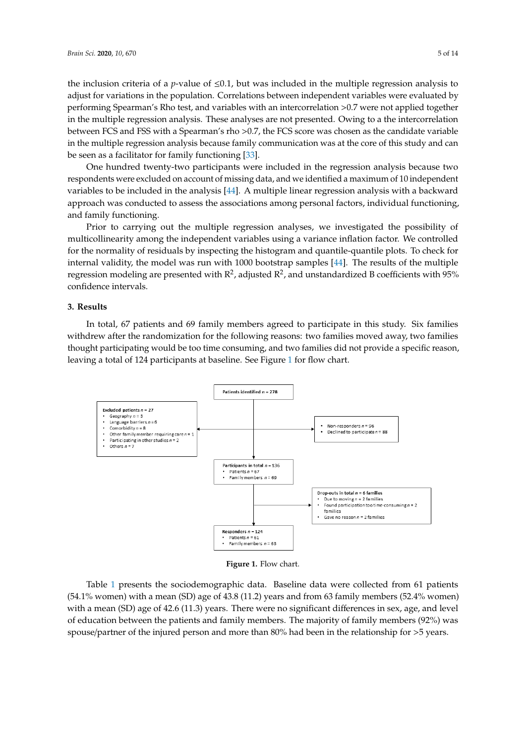the inclusion criteria of a *p*-value of  $\leq 0.1$ , but was included in the multiple regression analysis to adjust for variations in the population. Correlations between independent variables were evaluated by performing Spearman's Rho test, and variables with an intercorrelation >0.7 were not applied together in the multiple regression analysis. These analyses are not presented. Owing to a the intercorrelation between FCS and FSS with a Spearman's rho >0.7, the FCS score was chosen as the candidate variable in the multiple regression analysis because family communication was at the core of this study and can be seen as a facilitator for family functioning [\[33\]](#page-11-12). functioning [33]. the inclusion criteria of a *p*-value of  $\leq 0.1$ , but was included in the multiple regression analysis to adjust for variations in the population. Correlations between independent variables were evaluated by performing

One hundred twenty-two participants were included in the regression analysis because two One hundred twenty-two participants were included in the regression analysis because two respondents were excluded on account of missing data, and we identified a maximum of 10 independent respondents were excluded on account of missing data, and we identified a maximum of 10 independent<br>variables to be included in [the](#page-12-3) analysis [44]. A multiple linear regression analysis with a backward approach was conducted to assess the associations among personal factors, individual functioning, and family functioning. functioning, and family functioning.

Prior to carrying out the multiple regression analyses, we investigated the possibility of multicollinearity among the independent variables using a variance inflation factor. We controlled multicollinearity among the independent variables using a variance inflation factor. We controlled for the normality of residuals by inspecting the histogram and quantile-quantile plots. To check for internal validity, the model was run with 1000 bootstrap samples [44]. The [resu](#page-12-3)lts of the multiple internal validity, the model was run with 1000 bootstrap samples [44]. The results of the multiple regression modeling are presented with  $R^2$ , adjusted  $R^2$ , and unstandardized B coefficients with 95% confidence intervals.

# **3. Results** *3.* **Results**

In total, 67 patients and 69 family members agreed to participate in this study. Six families In total, 67 patients and 69 family members agreed to participate in this study. Six families withdrew after the randomization for the following reasons: two families moved away, two families withdrew after the randomization for the following reasons: two families moved away, two thought participating would be too time consuming, and two families did not provide a specific reason, leaving a total of 124 participants at bas[elin](#page-4-0)e. See Figure 1 for flow chart.

<span id="page-4-0"></span>

**Figure 1.** Flow chart. **Figure 1.** Flow chart.

Table 1 presents the sociodemographic data. Baseline data were conceled from 61 patients (54.1% women) with a mean (SD) age of 43.8 (11.2) years and from 63 family members (52.4% women) with a mean (SD) age of 42.6 (11.3) years. There were no significant differences in sex, age, and level Table [1](#page-5-0) presents the sociodemographic data. Baseline data were collected from 61 patients of education between the patients and family members. The majority of family members (92%) was spouse/partner of the injured person and more than 80% had been in the relationship for >5 years.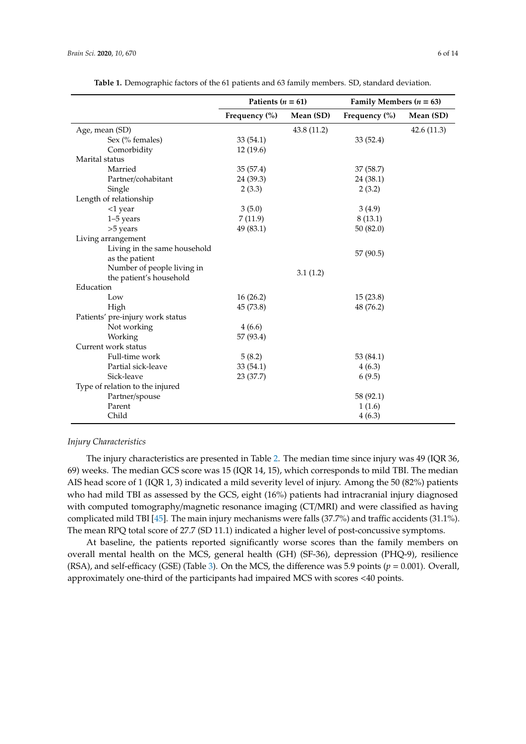<span id="page-5-0"></span>

|                                  | Patients ( $n = 61$ ) |             | Family Members ( $n = 63$ ) |            |
|----------------------------------|-----------------------|-------------|-----------------------------|------------|
|                                  | Frequency $(\% )$     | Mean (SD)   | Frequency $(\% )$           | Mean (SD)  |
| Age, mean (SD)                   |                       | 43.8 (11.2) |                             | 42.6(11.3) |
| Sex (% females)                  | 33(54.1)              |             | 33(52.4)                    |            |
| Comorbidity                      | 12(19.6)              |             |                             |            |
| Marital status                   |                       |             |                             |            |
| Married                          | 35(57.4)              |             | 37 (58.7)                   |            |
| Partner/cohabitant               | 24 (39.3)             |             | 24 (38.1)                   |            |
| Single                           | 2(3.3)                |             | 2(3.2)                      |            |
| Length of relationship           |                       |             |                             |            |
| <1 year                          | 3(5.0)                |             | 3(4.9)                      |            |
| $1-5$ years                      | 7(11.9)               |             | 8(13.1)                     |            |
| >5 years                         | 49 (83.1)             |             | 50(82.0)                    |            |
| Living arrangement               |                       |             |                             |            |
| Living in the same household     |                       |             | 57 (90.5)                   |            |
| as the patient                   |                       |             |                             |            |
| Number of people living in       |                       | 3.1(1.2)    |                             |            |
| the patient's household          |                       |             |                             |            |
| Education                        |                       |             |                             |            |
| Low                              | 16(26.2)              |             | 15(23.8)                    |            |
| High                             | 45 (73.8)             |             | 48 (76.2)                   |            |
| Patients' pre-injury work status |                       |             |                             |            |
| Not working                      | 4(6.6)                |             |                             |            |
| Working                          | 57 (93.4)             |             |                             |            |
| Current work status              |                       |             |                             |            |
| Full-time work                   | 5(8.2)                |             | 53 (84.1)                   |            |
| Partial sick-leave               | 33(54.1)              |             | 4(6.3)                      |            |
| Sick-leave                       | 23(37.7)              |             | 6(9.5)                      |            |
| Type of relation to the injured  |                       |             |                             |            |
| Partner/spouse                   |                       |             | 58 (92.1)                   |            |
| Parent                           |                       |             | 1(1.6)                      |            |
| Child                            |                       |             | 4(6.3)                      |            |

**Table 1.** Demographic factors of the 61 patients and 63 family members. SD, standard deviation.

## *Injury Characteristics*

The injury characteristics are presented in Table [2.](#page-6-0) The median time since injury was 49 (IQR 36, 69) weeks. The median GCS score was 15 (IQR 14, 15), which corresponds to mild TBI. The median AIS head score of 1 (IQR 1, 3) indicated a mild severity level of injury. Among the 50 (82%) patients who had mild TBI as assessed by the GCS, eight (16%) patients had intracranial injury diagnosed with computed tomography/magnetic resonance imaging (CT/MRI) and were classified as having complicated mild TBI [\[45\]](#page-12-4). The main injury mechanisms were falls (37.7%) and traffic accidents (31.1%). The mean RPQ total score of 27.7 (SD 11.1) indicated a higher level of post-concussive symptoms.

At baseline, the patients reported significantly worse scores than the family members on overall mental health on the MCS, general health (GH) (SF-36), depression (PHQ-9), resilience (RSA), and self-efficacy (GSE) (Table [3\)](#page-6-1). On the MCS, the difference was 5.9 points ( $p = 0.001$ ). Overall, approximately one-third of the participants had impaired MCS with scores <40 points.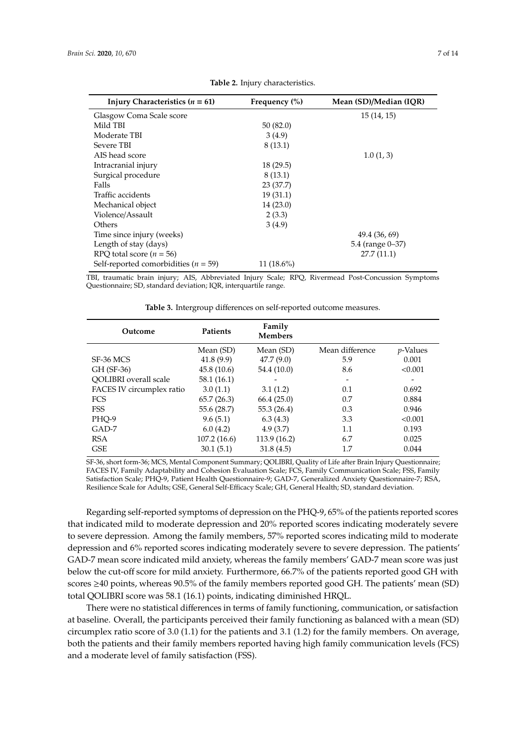<span id="page-6-0"></span>

| Injury Characteristics $(n = 61)$        | Frequency $(\% )$ | Mean (SD)/Median (IQR) |
|------------------------------------------|-------------------|------------------------|
| Glasgow Coma Scale score                 |                   | 15(14, 15)             |
| Mild TBI                                 | 50(82.0)          |                        |
| Moderate TBI                             | 3(4.9)            |                        |
| Severe TBI                               | 8(13.1)           |                        |
| AIS head score                           |                   | 1.0(1, 3)              |
| Intracranial injury                      | 18(29.5)          |                        |
| Surgical procedure                       | 8(13.1)           |                        |
| Falls                                    | 23(37.7)          |                        |
| Traffic accidents                        | 19(31.1)          |                        |
| Mechanical object                        | 14(23.0)          |                        |
| Violence/Assault                         | 2(3.3)            |                        |
| Others                                   | 3(4.9)            |                        |
| Time since injury (weeks)                |                   | 49.4 (36, 69)          |
| Length of stay (days)                    |                   | 5.4 (range 0–37)       |
| RPQ total score ( $n = 56$ )             |                   | 27.7(11.1)             |
| Self-reported comorbidities ( $n = 59$ ) | $11(18.6\%)$      |                        |

**Table 2.** Injury characteristics.

TBI, traumatic brain injury; AIS, Abbreviated Injury Scale; RPQ, Rivermead Post-Concussion Symptoms Questionnaire; SD, standard deviation; IQR, interquartile range.

<span id="page-6-1"></span>

| Outcome                   | Patients    | Family<br><b>Members</b> |                 |                  |
|---------------------------|-------------|--------------------------|-----------------|------------------|
|                           | Mean (SD)   | Mean (SD)                | Mean difference | <i>p</i> -Values |
| SF-36 MCS                 | 41.8(9.9)   | 47.7(9.0)                | 5.9             | 0.001            |
| GH (SF-36)                | 45.8(10.6)  | 54.4 (10.0)              | 8.6             | < 0.001          |
| QOLIBRI overall scale     | 58.1(16.1)  |                          |                 |                  |
| FACES IV circumplex ratio | 3.0(1.1)    | 3.1(1.2)                 | 0.1             | 0.692            |
| <b>FCS</b>                | 65.7(26.3)  | 66.4(25.0)               | 0.7             | 0.884            |
| <b>FSS</b>                | 55.6 (28.7) | 55.3 (26.4)              | 0.3             | 0.946            |
| PHQ-9                     | 9.6(5.1)    | 6.3(4.3)                 | 3.3             | < 0.001          |
| GAD-7                     | 6.0(4.2)    | 4.9(3.7)                 | 1.1             | 0.193            |
| <b>RSA</b>                | 107.2(16.6) | 113.9 (16.2)             | 6.7             | 0.025            |
| <b>GSE</b>                | 30.1(5.1)   | 31.8(4.5)                | 1.7             | 0.044            |

**Table 3.** Intergroup differences on self-reported outcome measures.

SF-36, short form-36; MCS, Mental Component Summary; QOLIBRI, Quality of Life after Brain Injury Questionnaire; FACES IV, Family Adaptability and Cohesion Evaluation Scale; FCS, Family Communication Scale; FSS, Family Satisfaction Scale; PHQ-9, Patient Health Questionnaire-9; GAD-7, Generalized Anxiety Questionnaire-7; RSA, Resilience Scale for Adults; GSE, General Self-Efficacy Scale; GH, General Health; SD, standard deviation.

Regarding self-reported symptoms of depression on the PHQ-9, 65% of the patients reported scores that indicated mild to moderate depression and 20% reported scores indicating moderately severe to severe depression. Among the family members, 57% reported scores indicating mild to moderate depression and 6% reported scores indicating moderately severe to severe depression. The patients' GAD-7 mean score indicated mild anxiety, whereas the family members' GAD-7 mean score was just below the cut-off score for mild anxiety. Furthermore, 66.7% of the patients reported good GH with scores ≥40 points, whereas 90.5% of the family members reported good GH. The patients' mean (SD) total QOLIBRI score was 58.1 (16.1) points, indicating diminished HRQL.

There were no statistical differences in terms of family functioning, communication, or satisfaction at baseline. Overall, the participants perceived their family functioning as balanced with a mean (SD) circumplex ratio score of 3.0 (1.1) for the patients and 3.1 (1.2) for the family members. On average, both the patients and their family members reported having high family communication levels (FCS) and a moderate level of family satisfaction (FSS).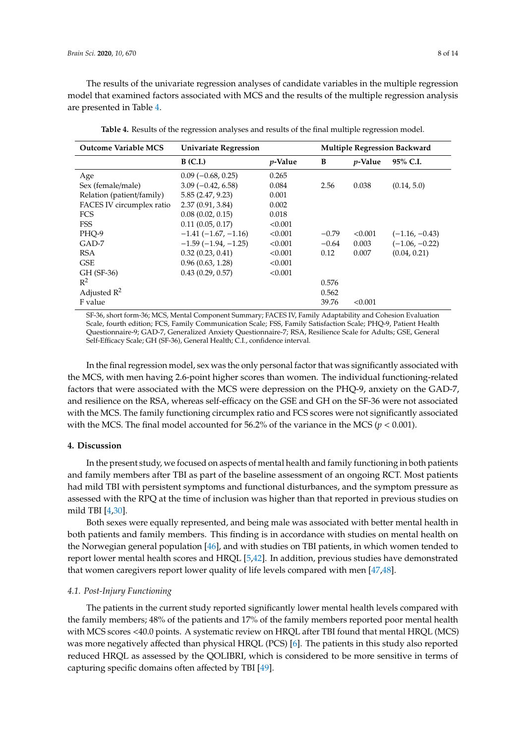The results of the univariate regression analyses of candidate variables in the multiple regression model that examined factors associated with MCS and the results of the multiple regression analysis are presented in Table [4.](#page-7-0)

<span id="page-7-0"></span>

| <b>Outcome Variable MCS</b> | <b>Univariate Regression</b> |                 |         | <b>Multiple Regression Backward</b> |                  |  |
|-----------------------------|------------------------------|-----------------|---------|-------------------------------------|------------------|--|
|                             | $B$ (C.I.)                   | <i>p</i> -Value | B       | <i>p</i> -Value                     | 95% C.I.         |  |
| Age                         | $0.09$ ( $-0.68$ , 0.25)     | 0.265           |         |                                     |                  |  |
| Sex (female/male)           | $3.09(-0.42, 6.58)$          | 0.084           | 2.56    | 0.038                               | (0.14, 5.0)      |  |
| Relation (patient/family)   | 5.85(2.47, 9.23)             | 0.001           |         |                                     |                  |  |
| FACES IV circumplex ratio   | 2.37(0.91, 3.84)             | 0.002           |         |                                     |                  |  |
| FCS                         | 0.08(0.02, 0.15)             | 0.018           |         |                                     |                  |  |
| <b>FSS</b>                  | 0.11(0.05, 0.17)             | < 0.001         |         |                                     |                  |  |
| PHO-9                       | $-1.41(-1.67,-1.16)$         | < 0.001         | $-0.79$ | < 0.001                             | $(-1.16, -0.43)$ |  |
| GAD-7                       | $-1.59(-1.94,-1.25)$         | < 0.001         | $-0.64$ | 0.003                               | $(-1.06, -0.22)$ |  |
| <b>RSA</b>                  | 0.32(0.23, 0.41)             | < 0.001         | 0.12    | 0.007                               | (0.04, 0.21)     |  |
| <b>GSE</b>                  | 0.96(0.63, 1.28)             | < 0.001         |         |                                     |                  |  |
| GH (SF-36)                  | 0.43(0.29, 0.57)             | < 0.001         |         |                                     |                  |  |
| $R^2$                       |                              |                 | 0.576   |                                     |                  |  |
| Adjusted $R^2$              |                              |                 | 0.562   |                                     |                  |  |
| F value                     |                              |                 | 39.76   | < 0.001                             |                  |  |

**Table 4.** Results of the regression analyses and results of the final multiple regression model.

SF-36, short form-36; MCS, Mental Component Summary; FACES IV, Family Adaptability and Cohesion Evaluation Scale, fourth edition; FCS, Family Communication Scale; FSS, Family Satisfaction Scale; PHQ-9, Patient Health Questionnaire-9; GAD-7, Generalized Anxiety Questionnaire-7; RSA, Resilience Scale for Adults; GSE, General Self-Efficacy Scale; GH (SF-36), General Health; C.I., confidence interval.

In the final regression model, sex was the only personal factor that was significantly associated with the MCS, with men having 2.6-point higher scores than women. The individual functioning-related factors that were associated with the MCS were depression on the PHQ-9, anxiety on the GAD-7, and resilience on the RSA, whereas self-efficacy on the GSE and GH on the SF-36 were not associated with the MCS. The family functioning circumplex ratio and FCS scores were not significantly associated with the MCS. The final model accounted for 56.2% of the variance in the MCS (*p* < 0.001).

# **4. Discussion**

In the present study, we focused on aspects of mental health and family functioning in both patients and family members after TBI as part of the baseline assessment of an ongoing RCT. Most patients had mild TBI with persistent symptoms and functional disturbances, and the symptom pressure as assessed with the RPQ at the time of inclusion was higher than that reported in previous studies on mild TBI [\[4,](#page-10-3)[30\]](#page-11-9).

Both sexes were equally represented, and being male was associated with better mental health in both patients and family members. This finding is in accordance with studies on mental health on the Norwegian general population [\[46\]](#page-12-5), and with studies on TBI patients, in which women tended to report lower mental health scores and HRQL [\[5,](#page-10-4)[42\]](#page-12-1). In addition, previous studies have demonstrated that women caregivers report lower quality of life levels compared with men [\[47](#page-12-6)[,48\]](#page-12-7).

## *4.1. Post-Injury Functioning*

The patients in the current study reported significantly lower mental health levels compared with the family members; 48% of the patients and 17% of the family members reported poor mental health with MCS scores <40.0 points. A systematic review on HRQL after TBI found that mental HRQL (MCS) was more negatively affected than physical HRQL (PCS) [\[6\]](#page-10-5). The patients in this study also reported reduced HRQL as assessed by the QOLIBRI, which is considered to be more sensitive in terms of capturing specific domains often affected by TBI [\[49\]](#page-12-8).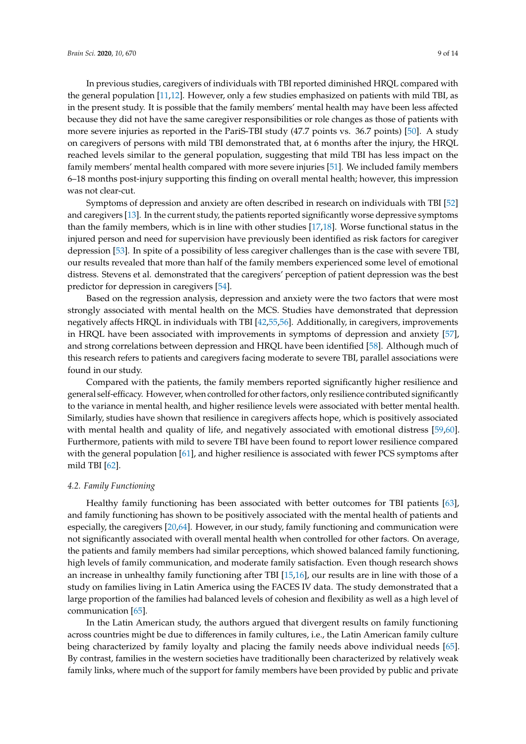In previous studies, caregivers of individuals with TBI reported diminished HRQL compared with the general population [\[11](#page-10-9)[,12\]](#page-10-10). However, only a few studies emphasized on patients with mild TBI, as in the present study. It is possible that the family members' mental health may have been less affected because they did not have the same caregiver responsibilities or role changes as those of patients with more severe injuries as reported in the PariS-TBI study (47.7 points vs. 36.7 points) [\[50\]](#page-12-9). A study on caregivers of persons with mild TBI demonstrated that, at 6 months after the injury, the HRQL reached levels similar to the general population, suggesting that mild TBI has less impact on the family members' mental health compared with more severe injuries [\[51\]](#page-12-10). We included family members 6–18 months post-injury supporting this finding on overall mental health; however, this impression was not clear-cut.

Symptoms of depression and anxiety are often described in research on individuals with TBI [\[52\]](#page-12-11) and caregivers [\[13\]](#page-10-11). In the current study, the patients reported significantly worse depressive symptoms than the family members, which is in line with other studies [\[17,](#page-10-15)[18\]](#page-10-16). Worse functional status in the injured person and need for supervision have previously been identified as risk factors for caregiver depression [\[53\]](#page-12-12). In spite of a possibility of less caregiver challenges than is the case with severe TBI, our results revealed that more than half of the family members experienced some level of emotional distress. Stevens et al. demonstrated that the caregivers' perception of patient depression was the best predictor for depression in caregivers [\[54\]](#page-12-13).

Based on the regression analysis, depression and anxiety were the two factors that were most strongly associated with mental health on the MCS. Studies have demonstrated that depression negatively affects HRQL in individuals with TBI [\[42](#page-12-1)[,55,](#page-12-14)[56\]](#page-12-15). Additionally, in caregivers, improvements in HRQL have been associated with improvements in symptoms of depression and anxiety [\[57\]](#page-12-16), and strong correlations between depression and HRQL have been identified [\[58\]](#page-12-17). Although much of this research refers to patients and caregivers facing moderate to severe TBI, parallel associations were found in our study.

Compared with the patients, the family members reported significantly higher resilience and general self-efficacy. However, when controlled for other factors, only resilience contributed significantly to the variance in mental health, and higher resilience levels were associated with better mental health. Similarly, studies have shown that resilience in caregivers affects hope, which is positively associated with mental health and quality of life, and negatively associated with emotional distress [\[59,](#page-12-18)[60\]](#page-12-19). Furthermore, patients with mild to severe TBI have been found to report lower resilience compared with the general population [\[61\]](#page-13-0), and higher resilience is associated with fewer PCS symptoms after mild TBI [\[62\]](#page-13-1).

## *4.2. Family Functioning*

Healthy family functioning has been associated with better outcomes for TBI patients [\[63\]](#page-13-2), and family functioning has shown to be positively associated with the mental health of patients and especially, the caregivers [\[20,](#page-11-0)[64\]](#page-13-3). However, in our study, family functioning and communication were not significantly associated with overall mental health when controlled for other factors. On average, the patients and family members had similar perceptions, which showed balanced family functioning, high levels of family communication, and moderate family satisfaction. Even though research shows an increase in unhealthy family functioning after TBI [\[15](#page-10-13)[,16\]](#page-10-14), our results are in line with those of a study on families living in Latin America using the FACES IV data. The study demonstrated that a large proportion of the families had balanced levels of cohesion and flexibility as well as a high level of communication [\[65\]](#page-13-4).

In the Latin American study, the authors argued that divergent results on family functioning across countries might be due to differences in family cultures, i.e., the Latin American family culture being characterized by family loyalty and placing the family needs above individual needs [\[65\]](#page-13-4). By contrast, families in the western societies have traditionally been characterized by relatively weak family links, where much of the support for family members have been provided by public and private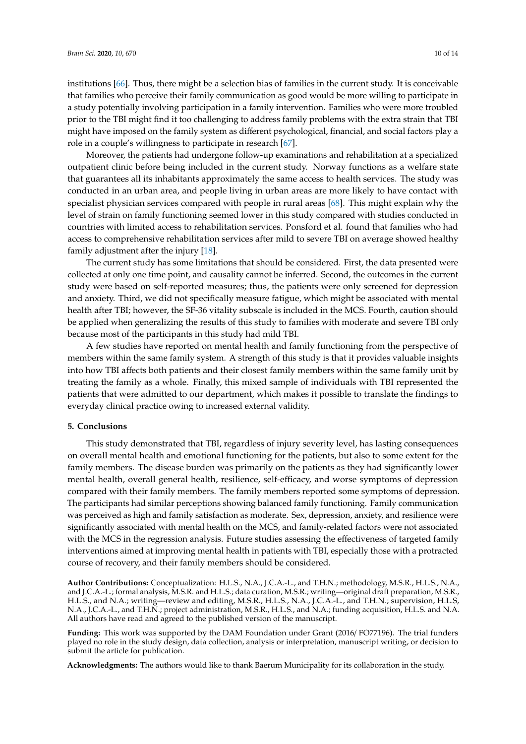institutions [\[66\]](#page-13-5). Thus, there might be a selection bias of families in the current study. It is conceivable that families who perceive their family communication as good would be more willing to participate in a study potentially involving participation in a family intervention. Families who were more troubled prior to the TBI might find it too challenging to address family problems with the extra strain that TBI might have imposed on the family system as different psychological, financial, and social factors play a role in a couple's willingness to participate in research [\[67\]](#page-13-6).

Moreover, the patients had undergone follow-up examinations and rehabilitation at a specialized outpatient clinic before being included in the current study. Norway functions as a welfare state that guarantees all its inhabitants approximately the same access to health services. The study was conducted in an urban area, and people living in urban areas are more likely to have contact with specialist physician services compared with people in rural areas [\[68\]](#page-13-7). This might explain why the level of strain on family functioning seemed lower in this study compared with studies conducted in countries with limited access to rehabilitation services. Ponsford et al. found that families who had access to comprehensive rehabilitation services after mild to severe TBI on average showed healthy family adjustment after the injury [\[18\]](#page-10-16).

The current study has some limitations that should be considered. First, the data presented were collected at only one time point, and causality cannot be inferred. Second, the outcomes in the current study were based on self-reported measures; thus, the patients were only screened for depression and anxiety. Third, we did not specifically measure fatigue, which might be associated with mental health after TBI; however, the SF-36 vitality subscale is included in the MCS. Fourth, caution should be applied when generalizing the results of this study to families with moderate and severe TBI only because most of the participants in this study had mild TBI.

A few studies have reported on mental health and family functioning from the perspective of members within the same family system. A strength of this study is that it provides valuable insights into how TBI affects both patients and their closest family members within the same family unit by treating the family as a whole. Finally, this mixed sample of individuals with TBI represented the patients that were admitted to our department, which makes it possible to translate the findings to everyday clinical practice owing to increased external validity.

## **5. Conclusions**

This study demonstrated that TBI, regardless of injury severity level, has lasting consequences on overall mental health and emotional functioning for the patients, but also to some extent for the family members. The disease burden was primarily on the patients as they had significantly lower mental health, overall general health, resilience, self-efficacy, and worse symptoms of depression compared with their family members. The family members reported some symptoms of depression. The participants had similar perceptions showing balanced family functioning. Family communication was perceived as high and family satisfaction as moderate. Sex, depression, anxiety, and resilience were significantly associated with mental health on the MCS, and family-related factors were not associated with the MCS in the regression analysis. Future studies assessing the effectiveness of targeted family interventions aimed at improving mental health in patients with TBI, especially those with a protracted course of recovery, and their family members should be considered.

**Author Contributions:** Conceptualization: H.L.S., N.A., J.C.A.-L., and T.H.N.; methodology, M.S.R., H.L.S., N.A., and J.C.A.-L.; formal analysis, M.S.R. and H.L.S.; data curation, M.S.R.; writing—original draft preparation, M.S.R., H.L.S., and N.A.; writing—review and editing, M.S.R., H.L.S., N.A., J.C.A.-L., and T.H.N.; supervision, H.L.S, N.A., J.C.A.-L., and T.H.N.; project administration, M.S.R., H.L.S., and N.A.; funding acquisition, H.L.S. and N.A. All authors have read and agreed to the published version of the manuscript.

**Funding:** This work was supported by the DAM Foundation under Grant (2016/ FO77196). The trial funders played no role in the study design, data collection, analysis or interpretation, manuscript writing, or decision to submit the article for publication.

**Acknowledgments:** The authors would like to thank Baerum Municipality for its collaboration in the study.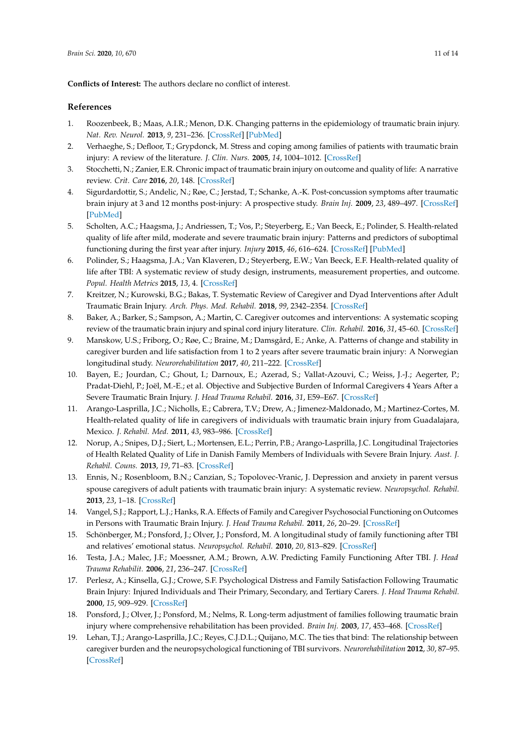**Conflicts of Interest:** The authors declare no conflict of interest.

## **References**

- <span id="page-10-0"></span>1. Roozenbeek, B.; Maas, A.I.R.; Menon, D.K. Changing patterns in the epidemiology of traumatic brain injury. *Nat. Rev. Neurol.* **2013**, *9*, 231–236. [\[CrossRef\]](http://dx.doi.org/10.1038/nrneurol.2013.22) [\[PubMed\]](http://www.ncbi.nlm.nih.gov/pubmed/23443846)
- <span id="page-10-1"></span>2. Verhaeghe, S.; Defloor, T.; Grypdonck, M. Stress and coping among families of patients with traumatic brain injury: A review of the literature. *J. Clin. Nurs.* **2005**, *14*, 1004–1012. [\[CrossRef\]](http://dx.doi.org/10.1111/j.1365-2702.2005.01126.x)
- <span id="page-10-2"></span>3. Stocchetti, N.; Zanier, E.R. Chronic impact of traumatic brain injury on outcome and quality of life: A narrative review. *Crit. Care* **2016**, *20*, 148. [\[CrossRef\]](http://dx.doi.org/10.1186/s13054-016-1318-1)
- <span id="page-10-3"></span>4. Sigurdardottir, S.; Andelic, N.; Røe, C.; Jerstad, T.; Schanke, A.-K. Post-concussion symptoms after traumatic brain injury at 3 and 12 months post-injury: A prospective study. *Brain Inj.* **2009**, *23*, 489–497. [\[CrossRef\]](http://dx.doi.org/10.1080/02699050902926309) [\[PubMed\]](http://www.ncbi.nlm.nih.gov/pubmed/19484622)
- <span id="page-10-4"></span>5. Scholten, A.C.; Haagsma, J.; Andriessen, T.; Vos, P.; Steyerberg, E.; Van Beeck, E.; Polinder, S. Health-related quality of life after mild, moderate and severe traumatic brain injury: Patterns and predictors of suboptimal functioning during the first year after injury. *Injury* **2015**, *46*, 616–624. [\[CrossRef\]](http://dx.doi.org/10.1016/j.injury.2014.10.064) [\[PubMed\]](http://www.ncbi.nlm.nih.gov/pubmed/25476014)
- <span id="page-10-5"></span>6. Polinder, S.; Haagsma, J.A.; Van Klaveren, D.; Steyerberg, E.W.; Van Beeck, E.F. Health-related quality of life after TBI: A systematic review of study design, instruments, measurement properties, and outcome. *Popul. Health Metrics* **2015**, *13*, 4. [\[CrossRef\]](http://dx.doi.org/10.1186/s12963-015-0037-1)
- <span id="page-10-6"></span>7. Kreitzer, N.; Kurowski, B.G.; Bakas, T. Systematic Review of Caregiver and Dyad Interventions after Adult Traumatic Brain Injury. *Arch. Phys. Med. Rehabil.* **2018**, *99*, 2342–2354. [\[CrossRef\]](http://dx.doi.org/10.1016/j.apmr.2018.04.016)
- <span id="page-10-7"></span>8. Baker, A.; Barker, S.; Sampson, A.; Martin, C. Caregiver outcomes and interventions: A systematic scoping review of the traumatic brain injury and spinal cord injury literature. *Clin. Rehabil.* **2016**, *31*, 45–60. [\[CrossRef\]](http://dx.doi.org/10.1177/0269215516639357)
- 9. Manskow, U.S.; Friborg, O.; Røe, C.; Braine, M.; Damsgård, E.; Anke, A. Patterns of change and stability in caregiver burden and life satisfaction from 1 to 2 years after severe traumatic brain injury: A Norwegian longitudinal study. *Neurorehabilitation* **2017**, *40*, 211–222. [\[CrossRef\]](http://dx.doi.org/10.3233/NRE-161406)
- <span id="page-10-8"></span>10. Bayen, E.; Jourdan, C.; Ghout, I.; Darnoux, E.; Azerad, S.; Vallat-Azouvi, C.; Weiss, J.-J.; Aegerter, P.; Pradat-Diehl, P.; Joël, M.-E.; et al. Objective and Subjective Burden of Informal Caregivers 4 Years After a Severe Traumatic Brain Injury. *J. Head Trauma Rehabil.* **2016**, *31*, E59–E67. [\[CrossRef\]](http://dx.doi.org/10.1097/HTR.0000000000000079)
- <span id="page-10-9"></span>11. Arango-Lasprilla, J.C.; Nicholls, E.; Cabrera, T.V.; Drew, A.; Jimenez-Maldonado, M.; Martinez-Cortes, M. Health-related quality of life in caregivers of individuals with traumatic brain injury from Guadalajara, Mexico. *J. Rehabil. Med.* **2011**, *43*, 983–986. [\[CrossRef\]](http://dx.doi.org/10.2340/16501977-0883)
- <span id="page-10-10"></span>12. Norup, A.; Snipes, D.J.; Siert, L.; Mortensen, E.L.; Perrin, P.B.; Arango-Lasprilla, J.C. Longitudinal Trajectories of Health Related Quality of Life in Danish Family Members of Individuals with Severe Brain Injury. *Aust. J. Rehabil. Couns.* **2013**, *19*, 71–83. [\[CrossRef\]](http://dx.doi.org/10.1017/jrc.2013.12)
- <span id="page-10-11"></span>13. Ennis, N.; Rosenbloom, B.N.; Canzian, S.; Topolovec-Vranic, J. Depression and anxiety in parent versus spouse caregivers of adult patients with traumatic brain injury: A systematic review. *Neuropsychol. Rehabil.* **2013**, *23*, 1–18. [\[CrossRef\]](http://dx.doi.org/10.1080/09602011.2012.712871)
- <span id="page-10-12"></span>14. Vangel, S.J.; Rapport, L.J.; Hanks, R.A. Effects of Family and Caregiver Psychosocial Functioning on Outcomes in Persons with Traumatic Brain Injury. *J. Head Trauma Rehabil.* **2011**, *26*, 20–29. [\[CrossRef\]](http://dx.doi.org/10.1097/htr.0b013e318204a70d)
- <span id="page-10-13"></span>15. Schönberger, M.; Ponsford, J.; Olver, J.; Ponsford, M. A longitudinal study of family functioning after TBI and relatives' emotional status. *Neuropsychol. Rehabil.* **2010**, *20*, 813–829. [\[CrossRef\]](http://dx.doi.org/10.1080/09602011003620077)
- <span id="page-10-14"></span>16. Testa, J.A.; Malec, J.F.; Moessner, A.M.; Brown, A.W. Predicting Family Functioning After TBI. *J. Head Trauma Rehabilit.* **2006**, *21*, 236–247. [\[CrossRef\]](http://dx.doi.org/10.1097/00001199-200605000-00004)
- <span id="page-10-15"></span>17. Perlesz, A.; Kinsella, G.J.; Crowe, S.F. Psychological Distress and Family Satisfaction Following Traumatic Brain Injury: Injured Individuals and Their Primary, Secondary, and Tertiary Carers. *J. Head Trauma Rehabil.* **2000**, *15*, 909–929. [\[CrossRef\]](http://dx.doi.org/10.1097/00001199-200006000-00005)
- <span id="page-10-16"></span>18. Ponsford, J.; Olver, J.; Ponsford, M.; Nelms, R. Long-term adjustment of families following traumatic brain injury where comprehensive rehabilitation has been provided. *Brain Inj.* **2003**, *17*, 453–468. [\[CrossRef\]](http://dx.doi.org/10.1080/0269905031000070143)
- <span id="page-10-17"></span>19. Lehan, T.J.; Arango-Lasprilla, J.C.; Reyes, C.J.D.L.; Quijano, M.C. The ties that bind: The relationship between caregiver burden and the neuropsychological functioning of TBI survivors. *Neurorehabilitation* **2012**, *30*, 87–95. [\[CrossRef\]](http://dx.doi.org/10.3233/nre-2011-0730)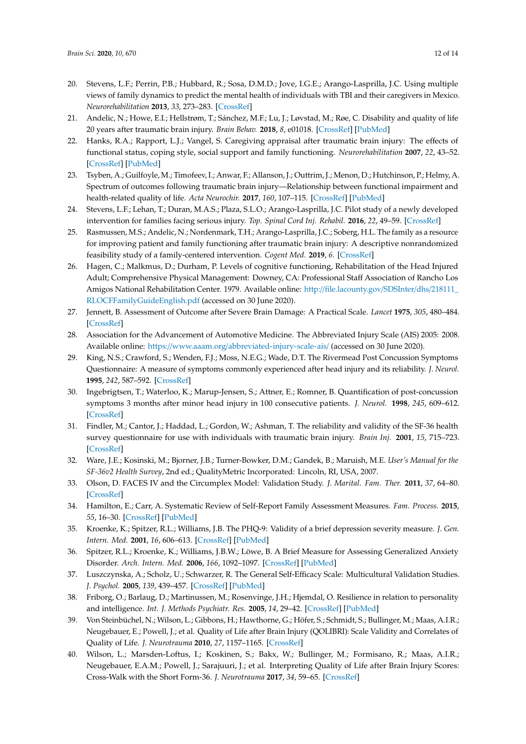- <span id="page-11-0"></span>20. Stevens, L.F.; Perrin, P.B.; Hubbard, R.; Sosa, D.M.D.; Jove, I.G.E.; Arango-Lasprilla, J.C. Using multiple views of family dynamics to predict the mental health of individuals with TBI and their caregivers in Mexico. *Neurorehabilitation* **2013**, *33*, 273–283. [\[CrossRef\]](http://dx.doi.org/10.3233/nre-130955)
- <span id="page-11-1"></span>21. Andelic, N.; Howe, E.I.; Hellstrøm, T.; Sánchez, M.F.; Lu, J.; Løvstad, M.; Røe, C. Disability and quality of life 20 years after traumatic brain injury. *Brain Behav.* **2018**, *8*, e01018. [\[CrossRef\]](http://dx.doi.org/10.1002/brb3.1018) [\[PubMed\]](http://www.ncbi.nlm.nih.gov/pubmed/29888869)
- 22. Hanks, R.A.; Rapport, L.J.; Vangel, S. Caregiving appraisal after traumatic brain injury: The effects of functional status, coping style, social support and family functioning. *Neurorehabilitation* **2007**, *22*, 43–52. [\[CrossRef\]](http://dx.doi.org/10.3233/NRE-2007-22105) [\[PubMed\]](http://www.ncbi.nlm.nih.gov/pubmed/17379947)
- <span id="page-11-2"></span>23. Tsyben, A.; Guilfoyle, M.; Timofeev, I.; Anwar, F.; Allanson, J.; Outtrim, J.; Menon, D.; Hutchinson, P.; Helmy, A. Spectrum of outcomes following traumatic brain injury—Relationship between functional impairment and health-related quality of life. *Acta Neurochir.* **2017**, *160*, 107–115. [\[CrossRef\]](http://dx.doi.org/10.1007/s00701-017-3334-6) [\[PubMed\]](http://www.ncbi.nlm.nih.gov/pubmed/28988342)
- <span id="page-11-3"></span>24. Stevens, L.F.; Lehan, T.; Duran, M.A.S.; Plaza, S.L.O.; Arango-Lasprilla, J.C. Pilot study of a newly developed intervention for families facing serious injury. *Top. Spinal Cord Inj. Rehabil.* **2016**, *22*, 49–59. [\[CrossRef\]](http://dx.doi.org/10.1310/sci2101-49)
- <span id="page-11-4"></span>25. Rasmussen, M.S.; Andelic, N.; Nordenmark, T.H.; Arango-Lasprilla, J.C.; Soberg, H.L. The family as a resource for improving patient and family functioning after traumatic brain injury: A descriptive nonrandomized feasibility study of a family-centered intervention. *Cogent Med.* **2019**, *6*. [\[CrossRef\]](http://dx.doi.org/10.1080/2331205X.2019.1607433)
- <span id="page-11-5"></span>26. Hagen, C.; Malkmus, D.; Durham, P. Levels of cognitive functioning, Rehabilitation of the Head Injured Adult; Comprehensive Physical Management: Downey, CA: Professional Staff Association of Rancho Los Amigos National Rehabilitation Center. 1979. Available online: http://[file.lacounty.gov](http://file.lacounty.gov/SDSInter/dhs/218111_RLOCFFamilyGuideEnglish.pdf)/SDSInter/dhs/218111\_ [RLOCFFamilyGuideEnglish.pdf](http://file.lacounty.gov/SDSInter/dhs/218111_RLOCFFamilyGuideEnglish.pdf) (accessed on 30 June 2020).
- <span id="page-11-6"></span>27. Jennett, B. Assessment of Outcome after Severe Brain Damage: A Practical Scale. *Lancet* **1975**, *305*, 480–484. [\[CrossRef\]](http://dx.doi.org/10.1016/S0140-6736(75)92830-5)
- <span id="page-11-7"></span>28. Association for the Advancement of Automotive Medicine. The Abbreviated Injury Scale (AIS) 2005: 2008. Available online: https://www.aaam.org/[abbreviated-injury-scale-ais](https://www.aaam.org/abbreviated-injury-scale-ais/)/ (accessed on 30 June 2020).
- <span id="page-11-8"></span>29. King, N.S.; Crawford, S.; Wenden, F.J.; Moss, N.E.G.; Wade, D.T. The Rivermead Post Concussion Symptoms Questionnaire: A measure of symptoms commonly experienced after head injury and its reliability. *J. Neurol.* **1995**, *242*, 587–592. [\[CrossRef\]](http://dx.doi.org/10.1007/BF00868811)
- <span id="page-11-9"></span>30. Ingebrigtsen, T.; Waterloo, K.; Marup-Jensen, S.; Attner, E.; Romner, B. Quantification of post-concussion symptoms 3 months after minor head injury in 100 consecutive patients. *J. Neurol.* **1998**, *245*, 609–612. [\[CrossRef\]](http://dx.doi.org/10.1007/s004150050254)
- <span id="page-11-10"></span>31. Findler, M.; Cantor, J.; Haddad, L.; Gordon, W.; Ashman, T. The reliability and validity of the SF-36 health survey questionnaire for use with individuals with traumatic brain injury. *Brain Inj.* **2001**, *15*, 715–723. [\[CrossRef\]](http://dx.doi.org/10.1080/02699050010013941)
- <span id="page-11-11"></span>32. Ware, J.E.; Kosinski, M.; Bjorner, J.B.; Turner-Bowker, D.M.; Gandek, B.; Maruish, M.E. *User's Manual for the SF-36v2 Health Survey*, 2nd ed.; QualityMetric Incorporated: Lincoln, RI, USA, 2007.
- <span id="page-11-12"></span>33. Olson, D. FACES IV and the Circumplex Model: Validation Study. *J. Marital. Fam. Ther.* **2011**, *37*, 64–80. [\[CrossRef\]](http://dx.doi.org/10.1111/j.1752-0606.2009.00175.x)
- <span id="page-11-13"></span>34. Hamilton, E.; Carr, A. Systematic Review of Self-Report Family Assessment Measures. *Fam. Process.* **2015**, *55*, 16–30. [\[CrossRef\]](http://dx.doi.org/10.1111/famp.12200) [\[PubMed\]](http://www.ncbi.nlm.nih.gov/pubmed/26582601)
- <span id="page-11-14"></span>35. Kroenke, K.; Spitzer, R.L.; Williams, J.B. The PHQ-9: Validity of a brief depression severity measure. *J. Gen. Intern. Med.* **2001**, *16*, 606–613. [\[CrossRef\]](http://dx.doi.org/10.1046/j.1525-1497.2001.016009606.x) [\[PubMed\]](http://www.ncbi.nlm.nih.gov/pubmed/11556941)
- <span id="page-11-15"></span>36. Spitzer, R.L.; Kroenke, K.; Williams, J.B.W.; Löwe, B. A Brief Measure for Assessing Generalized Anxiety Disorder. *Arch. Intern. Med.* **2006**, *166*, 1092–1097. [\[CrossRef\]](http://dx.doi.org/10.1001/archinte.166.10.1092) [\[PubMed\]](http://www.ncbi.nlm.nih.gov/pubmed/16717171)
- <span id="page-11-16"></span>37. Luszczynska, A.; Scholz, U.; Schwarzer, R. The General Self-Efficacy Scale: Multicultural Validation Studies. *J. Psychol.* **2005**, *139*, 439–457. [\[CrossRef\]](http://dx.doi.org/10.3200/JRLP.139.5.439-457) [\[PubMed\]](http://www.ncbi.nlm.nih.gov/pubmed/16285214)
- <span id="page-11-17"></span>38. Friborg, O.; Barlaug, D.; Martinussen, M.; Rosenvinge, J.H.; Hjemdal, O. Resilience in relation to personality and intelligence. *Int. J. Methods Psychiatr. Res.* **2005**, *14*, 29–42. [\[CrossRef\]](http://dx.doi.org/10.1002/mpr.15) [\[PubMed\]](http://www.ncbi.nlm.nih.gov/pubmed/16097398)
- <span id="page-11-18"></span>39. Von Steinbüchel, N.; Wilson, L.; Gibbons, H.; Hawthorne, G.; Höfer, S.; Schmidt, S.; Bullinger, M.; Maas, A.I.R.; Neugebauer, E.; Powell, J.; et al. Quality of Life after Brain Injury (QOLIBRI): Scale Validity and Correlates of Quality of Life. *J. Neurotrauma* **2010**, *27*, 1157–1165. [\[CrossRef\]](http://dx.doi.org/10.1089/neu.2009.1077)
- <span id="page-11-19"></span>40. Wilson, L.; Marsden-Loftus, I.; Koskinen, S.; Bakx, W.; Bullinger, M.; Formisano, R.; Maas, A.I.R.; Neugebauer, E.A.M.; Powell, J.; Sarajuuri, J.; et al. Interpreting Quality of Life after Brain Injury Scores: Cross-Walk with the Short Form-36. *J. Neurotrauma* **2017**, *34*, 59–65. [\[CrossRef\]](http://dx.doi.org/10.1089/neu.2015.4287)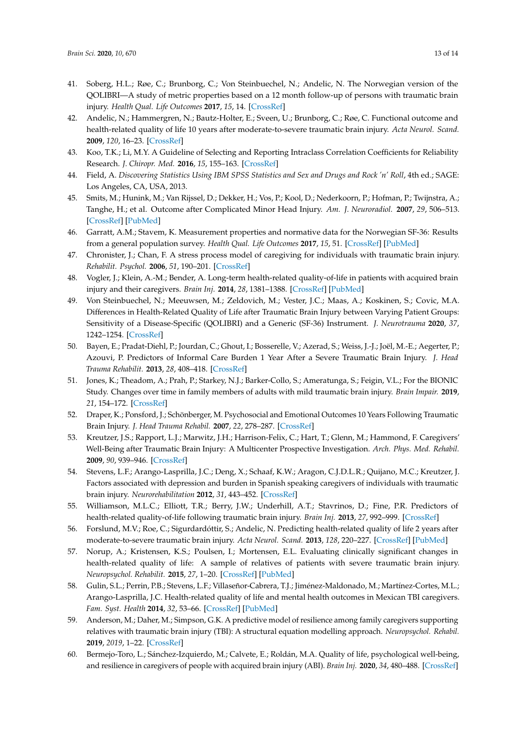- <span id="page-12-0"></span>41. Soberg, H.L.; Røe, C.; Brunborg, C.; Von Steinbuechel, N.; Andelic, N. The Norwegian version of the QOLIBRI—A study of metric properties based on a 12 month follow-up of persons with traumatic brain injury. *Health Qual. Life Outcomes* **2017**, *15*, 14. [\[CrossRef\]](http://dx.doi.org/10.1186/s12955-017-0589-9)
- <span id="page-12-1"></span>42. Andelic, N.; Hammergren, N.; Bautz-Holter, E.; Sveen, U.; Brunborg, C.; Røe, C. Functional outcome and health-related quality of life 10 years after moderate-to-severe traumatic brain injury. *Acta Neurol. Scand.* **2009**, *120*, 16–23. [\[CrossRef\]](http://dx.doi.org/10.1111/j.1600-0404.2008.01116.x)
- <span id="page-12-2"></span>43. Koo, T.K.; Li, M.Y. A Guideline of Selecting and Reporting Intraclass Correlation Coefficients for Reliability Research. *J. Chiropr. Med.* **2016**, *15*, 155–163. [\[CrossRef\]](http://dx.doi.org/10.1016/j.jcm.2016.02.012)
- <span id="page-12-3"></span>44. Field, A. Discovering Statistics Using IBM SPSS Statistics and Sex and Drugs and Rock 'n' Roll, 4th ed.; SAGE: Los Angeles, CA, USA, 2013.
- <span id="page-12-4"></span>45. Smits, M.; Hunink, M.; Van Rijssel, D.; Dekker, H.; Vos, P.; Kool, D.; Nederkoorn, P.; Hofman, P.; Twijnstra, A.; Tanghe, H.; et al. Outcome after Complicated Minor Head Injury. *Am. J. Neuroradiol.* **2007**, *29*, 506–513. [\[CrossRef\]](http://dx.doi.org/10.3174/ajnr.A0852) [\[PubMed\]](http://www.ncbi.nlm.nih.gov/pubmed/18065509)
- <span id="page-12-5"></span>46. Garratt, A.M.; Stavem, K. Measurement properties and normative data for the Norwegian SF-36: Results from a general population survey. *Health Qual. Life Outcomes* **2017**, *15*, 51. [\[CrossRef\]](http://dx.doi.org/10.1186/s12955-017-0625-9) [\[PubMed\]](http://www.ncbi.nlm.nih.gov/pubmed/28292292)
- <span id="page-12-6"></span>47. Chronister, J.; Chan, F. A stress process model of caregiving for individuals with traumatic brain injury. *Rehabilit. Psychol.* **2006**, *51*, 190–201. [\[CrossRef\]](http://dx.doi.org/10.1037/0090-5550.51.3.190)
- <span id="page-12-7"></span>48. Vogler, J.; Klein, A.-M.; Bender, A. Long-term health-related quality-of-life in patients with acquired brain injury and their caregivers. *Brain Inj.* **2014**, *28*, 1381–1388. [\[CrossRef\]](http://dx.doi.org/10.3109/02699052.2014.919536) [\[PubMed\]](http://www.ncbi.nlm.nih.gov/pubmed/24945467)
- <span id="page-12-8"></span>49. Von Steinbuechel, N.; Meeuwsen, M.; Zeldovich, M.; Vester, J.C.; Maas, A.; Koskinen, S.; Covic, M.A. Differences in Health-Related Quality of Life after Traumatic Brain Injury between Varying Patient Groups: Sensitivity of a Disease-Specific (QOLIBRI) and a Generic (SF-36) Instrument. *J. Neurotrauma* **2020**, *37*, 1242–1254. [\[CrossRef\]](http://dx.doi.org/10.1089/neu.2019.6627)
- <span id="page-12-9"></span>50. Bayen, E.; Pradat-Diehl, P.; Jourdan, C.; Ghout, I.; Bosserelle, V.; Azerad, S.; Weiss, J.-J.; Joël, M.-E.; Aegerter, P.; Azouvi, P. Predictors of Informal Care Burden 1 Year After a Severe Traumatic Brain Injury. *J. Head Trauma Rehabilit.* **2013**, *28*, 408–418. [\[CrossRef\]](http://dx.doi.org/10.1097/HTR.0b013e31825413cf)
- <span id="page-12-10"></span>51. Jones, K.; Theadom, A.; Prah, P.; Starkey, N.J.; Barker-Collo, S.; Ameratunga, S.; Feigin, V.L.; For the BIONIC Study. Changes over time in family members of adults with mild traumatic brain injury. *Brain Impair.* **2019**, *21*, 154–172. [\[CrossRef\]](http://dx.doi.org/10.1017/BrImp.2019.27)
- <span id="page-12-11"></span>52. Draper, K.; Ponsford, J.; Schönberger, M. Psychosocial and Emotional Outcomes 10 Years Following Traumatic Brain Injury. *J. Head Trauma Rehabil.* **2007**, *22*, 278–287. [\[CrossRef\]](http://dx.doi.org/10.1097/01.HTR.0000290972.63753.a7)
- <span id="page-12-12"></span>53. Kreutzer, J.S.; Rapport, L.J.; Marwitz, J.H.; Harrison-Felix, C.; Hart, T.; Glenn, M.; Hammond, F. Caregivers' Well-Being after Traumatic Brain Injury: A Multicenter Prospective Investigation. *Arch. Phys. Med. Rehabil.* **2009**, *90*, 939–946. [\[CrossRef\]](http://dx.doi.org/10.1016/j.apmr.2009.01.010)
- <span id="page-12-13"></span>54. Stevens, L.F.; Arango-Lasprilla, J.C.; Deng, X.; Schaaf, K.W.; Aragon, C.J.D.L.R.; Quijano, M.C.; Kreutzer, J. Factors associated with depression and burden in Spanish speaking caregivers of individuals with traumatic brain injury. *Neurorehabilitation* **2012**, *31*, 443–452. [\[CrossRef\]](http://dx.doi.org/10.3233/NRE-2012-00815)
- <span id="page-12-14"></span>55. Williamson, M.L.C.; Elliott, T.R.; Berry, J.W.; Underhill, A.T.; Stavrinos, D.; Fine, P.R. Predictors of health-related quality-of-life following traumatic brain injury. *Brain Inj.* **2013**, *27*, 992–999. [\[CrossRef\]](http://dx.doi.org/10.3109/02699052.2013.801512)
- <span id="page-12-15"></span>56. Forslund, M.V.; Roe, C.; Sigurdardóttir, S.; Andelic, N. Predicting health-related quality of life 2 years after moderate-to-severe traumatic brain injury. *Acta Neurol. Scand.* **2013**, *128*, 220–227. [\[CrossRef\]](http://dx.doi.org/10.1111/ane.12130) [\[PubMed\]](http://www.ncbi.nlm.nih.gov/pubmed/23621298)
- <span id="page-12-16"></span>57. Norup, A.; Kristensen, K.S.; Poulsen, I.; Mortensen, E.L. Evaluating clinically significant changes in health-related quality of life: A sample of relatives of patients with severe traumatic brain injury. *Neuropsychol. Rehabilit.* **2015**, *27*, 1–20. [\[CrossRef\]](http://dx.doi.org/10.1080/09602011.2015.1076484) [\[PubMed\]](http://www.ncbi.nlm.nih.gov/pubmed/26299841)
- <span id="page-12-17"></span>58. Gulin, S.L.; Perrin, P.B.; Stevens, L.F.; Villaseñor-Cabrera, T.J.; Jiménez-Maldonado, M.; Martínez-Cortes, M.L.; Arango-Lasprilla, J.C. Health-related quality of life and mental health outcomes in Mexican TBI caregivers. *Fam. Syst. Health* **2014**, *32*, 53–66. [\[CrossRef\]](http://dx.doi.org/10.1037/a0032623) [\[PubMed\]](http://www.ncbi.nlm.nih.gov/pubmed/24417652)
- <span id="page-12-18"></span>59. Anderson, M.; Daher, M.; Simpson, G.K. A predictive model of resilience among family caregivers supporting relatives with traumatic brain injury (TBI): A structural equation modelling approach. *Neuropsychol. Rehabil.* **2019**, *2019*, 1–22. [\[CrossRef\]](http://dx.doi.org/10.1080/09602011.2019.1620787)
- <span id="page-12-19"></span>60. Bermejo-Toro, L.; Sánchez-Izquierdo, M.; Calvete, E.; Roldán, M.A. Quality of life, psychological well-being, and resilience in caregivers of people with acquired brain injury (ABI). *Brain Inj.* **2020**, *34*, 480–488. [\[CrossRef\]](http://dx.doi.org/10.1080/02699052.2020.1725127)